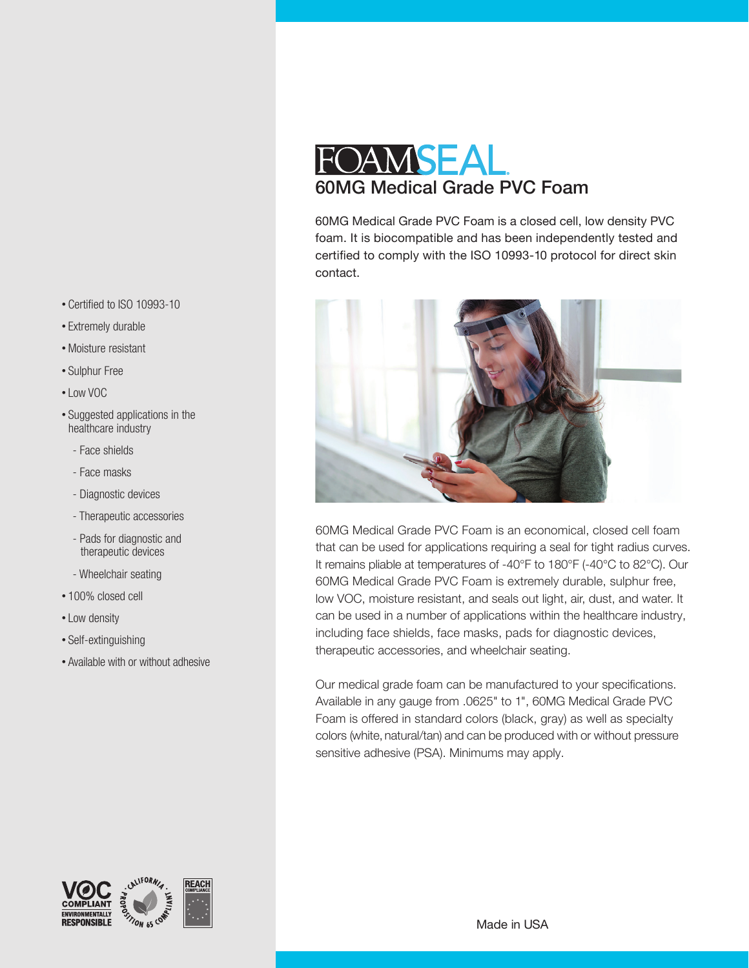- Certified to ISO 10993-10
- Extremely durable
- •Moisture resistant
- Sulphur Free
- Low VOC
- Suggested applications in the healthcare industry
	- Face shields
	- Face masks
	- Diagnostic devices
	- Therapeutic accessories
	- Pads for diagnostic and therapeutic devices
	- Wheelchair seating
- 100% closed cell
- Low density
- Self-extinguishing

**MENTALIY** 

**RESPONSIBLE** 

**STION 65 CD** 

• Available with or without adhesive

**REACH** 

## FOAMSEAL 60MG Medical Grade PVC Foam

60MG Medical Grade PVC Foam is a closed cell, low density PVC foam. It is biocompatible and has been independently tested and certified to comply with the ISO 10993-10 protocol for direct skin contact.



60MG Medical Grade PVC Foam is an economical, closed cell foam that can be used for applications requiring a seal for tight radius curves. It remains pliable at temperatures of -40°F to 180°F (-40°C to 82°C). Our 60MG Medical Grade PVC Foam is extremely durable, sulphur free, low VOC, moisture resistant, and seals out light, air, dust, and water. It can be used in a number of applications within the healthcare industry, including face shields, face masks, pads for diagnostic devices, therapeutic accessories, and wheelchair seating.

Our medical grade foam can be manufactured to your specifications. Available in any gauge from .0625" to 1", 60MG Medical Grade PVC Foam is offered in standard colors (black, gray) as well as specialty colors (white, natural/tan) and can be produced with or without pressure sensitive adhesive (PSA). Minimums may apply.